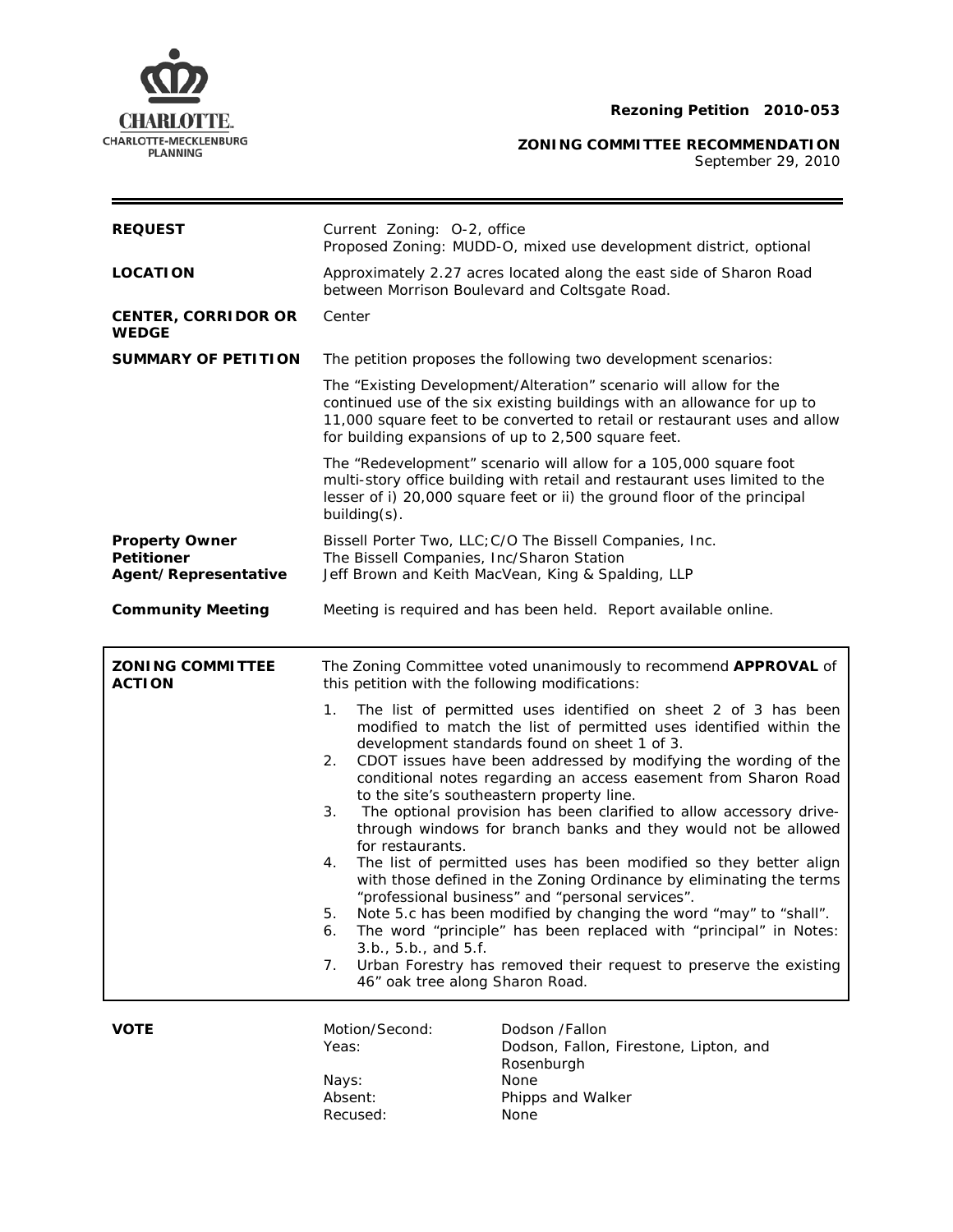

**ZONING COMMITTEE RECOMMENDATION**

September 29, 2010

 $=$ 

| <b>REQUEST</b>                                                     | Current Zoning: O-2, office<br>Proposed Zoning: MUDD-O, mixed use development district, optional                                                            |                                                                                                                                                                                                                                                                                                                                                                                                                                                                                                                                                                                                                                                                                                                                                                                                                                                                                                                                 |
|--------------------------------------------------------------------|-------------------------------------------------------------------------------------------------------------------------------------------------------------|---------------------------------------------------------------------------------------------------------------------------------------------------------------------------------------------------------------------------------------------------------------------------------------------------------------------------------------------------------------------------------------------------------------------------------------------------------------------------------------------------------------------------------------------------------------------------------------------------------------------------------------------------------------------------------------------------------------------------------------------------------------------------------------------------------------------------------------------------------------------------------------------------------------------------------|
| <b>LOCATION</b>                                                    | Approximately 2.27 acres located along the east side of Sharon Road<br>between Morrison Boulevard and Coltsgate Road.                                       |                                                                                                                                                                                                                                                                                                                                                                                                                                                                                                                                                                                                                                                                                                                                                                                                                                                                                                                                 |
| <b>CENTER, CORRIDOR OR</b><br><b>WEDGE</b>                         | Center                                                                                                                                                      |                                                                                                                                                                                                                                                                                                                                                                                                                                                                                                                                                                                                                                                                                                                                                                                                                                                                                                                                 |
| <b>SUMMARY OF PETITION</b>                                         | The petition proposes the following two development scenarios:                                                                                              |                                                                                                                                                                                                                                                                                                                                                                                                                                                                                                                                                                                                                                                                                                                                                                                                                                                                                                                                 |
|                                                                    |                                                                                                                                                             | The "Existing Development/Alteration" scenario will allow for the<br>continued use of the six existing buildings with an allowance for up to<br>11,000 square feet to be converted to retail or restaurant uses and allow<br>for building expansions of up to 2,500 square feet.                                                                                                                                                                                                                                                                                                                                                                                                                                                                                                                                                                                                                                                |
|                                                                    | building(s).                                                                                                                                                | The "Redevelopment" scenario will allow for a 105,000 square foot<br>multi-story office building with retail and restaurant uses limited to the<br>lesser of i) 20,000 square feet or ii) the ground floor of the principal                                                                                                                                                                                                                                                                                                                                                                                                                                                                                                                                                                                                                                                                                                     |
| <b>Property Owner</b><br><b>Petitioner</b><br>Agent/Representative | Bissell Porter Two, LLC; C/O The Bissell Companies, Inc.<br>The Bissell Companies, Inc/Sharon Station<br>Jeff Brown and Keith MacVean, King & Spalding, LLP |                                                                                                                                                                                                                                                                                                                                                                                                                                                                                                                                                                                                                                                                                                                                                                                                                                                                                                                                 |
| <b>Community Meeting</b>                                           |                                                                                                                                                             | Meeting is required and has been held. Report available online.                                                                                                                                                                                                                                                                                                                                                                                                                                                                                                                                                                                                                                                                                                                                                                                                                                                                 |
| <b>ZONING COMMITTEE</b><br><b>ACTION</b>                           | The Zoning Committee voted unanimously to recommend APPROVAL of<br>this petition with the following modifications:                                          |                                                                                                                                                                                                                                                                                                                                                                                                                                                                                                                                                                                                                                                                                                                                                                                                                                                                                                                                 |
|                                                                    | 1.<br>2.<br>3.<br>for restaurants.<br>4.<br>5.<br>6.<br>3.b., 5.b., and 5.f.<br>7.<br>46" oak tree along Sharon Road.                                       | The list of permitted uses identified on sheet 2 of 3 has been<br>modified to match the list of permitted uses identified within the<br>development standards found on sheet 1 of 3.<br>CDOT issues have been addressed by modifying the wording of the<br>conditional notes regarding an access easement from Sharon Road<br>to the site's southeastern property line.<br>The optional provision has been clarified to allow accessory drive-<br>through windows for branch banks and they would not be allowed<br>The list of permitted uses has been modified so they better align<br>with those defined in the Zoning Ordinance by eliminating the terms<br>"professional business" and "personal services".<br>Note 5.c has been modified by changing the word "may" to "shall".<br>The word "principle" has been replaced with "principal" in Notes:<br>Urban Forestry has removed their request to preserve the existing |
| <b>VOTE</b>                                                        | Motion/Second:<br>Yeas:                                                                                                                                     | Dodson /Fallon<br>Dodson, Fallon, Firestone, Lipton, and<br>Rosenburgh<br>None                                                                                                                                                                                                                                                                                                                                                                                                                                                                                                                                                                                                                                                                                                                                                                                                                                                  |

:

Recused: None

Phipps and Walker<br>None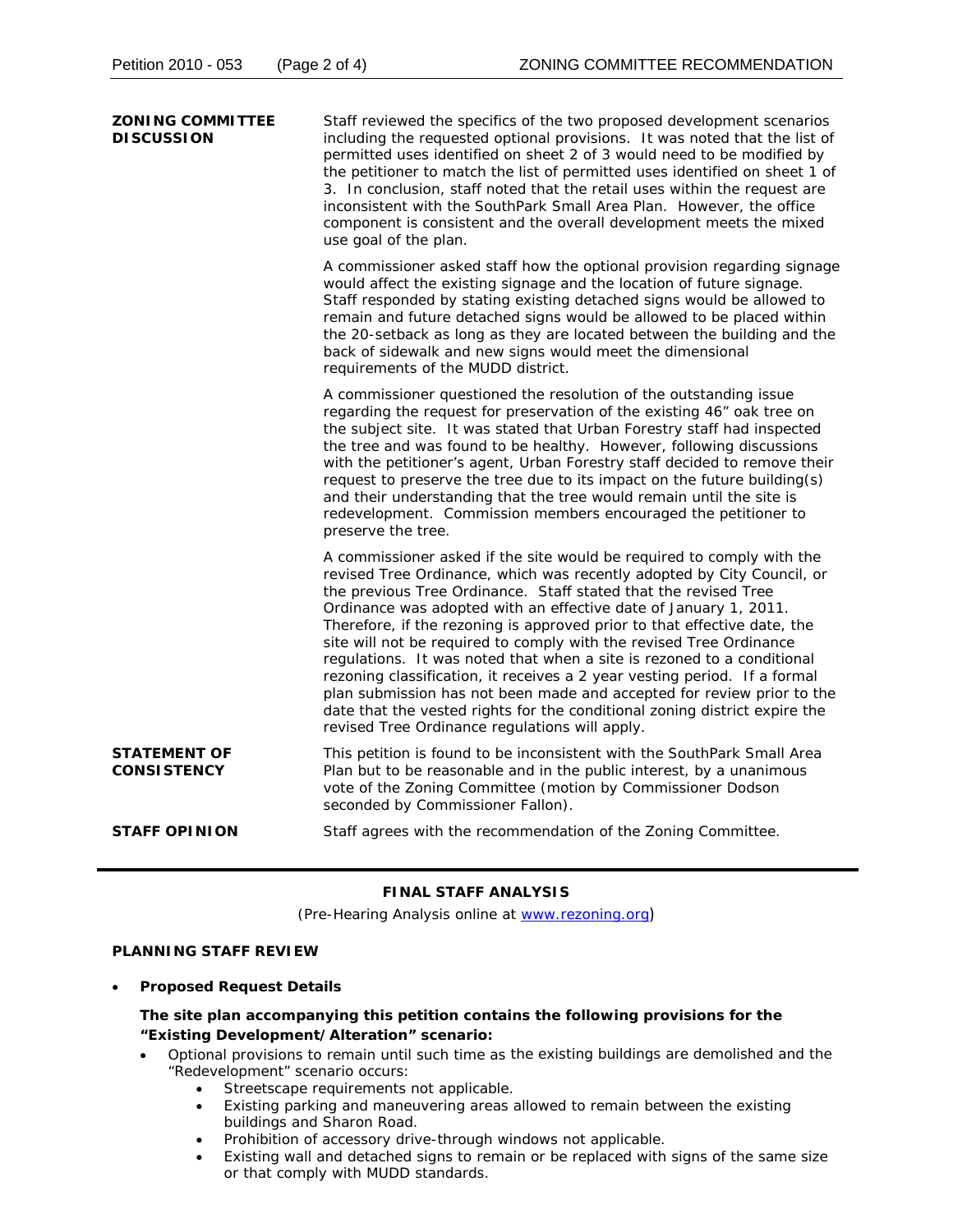| <b>ZONING COMMITTEE</b><br><b>DISCUSSION</b> | Staff reviewed the specifics of the two proposed development scenarios<br>including the requested optional provisions. It was noted that the list of<br>permitted uses identified on sheet 2 of 3 would need to be modified by<br>the petitioner to match the list of permitted uses identified on sheet 1 of<br>3. In conclusion, staff noted that the retail uses within the request are<br>inconsistent with the SouthPark Small Area Plan. However, the office<br>component is consistent and the overall development meets the mixed<br>use goal of the plan.                                                                                                                                                                                                                                         |
|----------------------------------------------|------------------------------------------------------------------------------------------------------------------------------------------------------------------------------------------------------------------------------------------------------------------------------------------------------------------------------------------------------------------------------------------------------------------------------------------------------------------------------------------------------------------------------------------------------------------------------------------------------------------------------------------------------------------------------------------------------------------------------------------------------------------------------------------------------------|
|                                              | A commissioner asked staff how the optional provision regarding signage<br>would affect the existing signage and the location of future signage.<br>Staff responded by stating existing detached signs would be allowed to<br>remain and future detached signs would be allowed to be placed within<br>the 20-setback as long as they are located between the building and the<br>back of sidewalk and new signs would meet the dimensional<br>requirements of the MUDD district.                                                                                                                                                                                                                                                                                                                          |
|                                              | A commissioner questioned the resolution of the outstanding issue<br>regarding the request for preservation of the existing 46" oak tree on<br>the subject site. It was stated that Urban Forestry staff had inspected<br>the tree and was found to be healthy. However, following discussions<br>with the petitioner's agent, Urban Forestry staff decided to remove their<br>request to preserve the tree due to its impact on the future building(s)<br>and their understanding that the tree would remain until the site is<br>redevelopment. Commission members encouraged the petitioner to<br>preserve the tree.                                                                                                                                                                                    |
|                                              | A commissioner asked if the site would be required to comply with the<br>revised Tree Ordinance, which was recently adopted by City Council, or<br>the previous Tree Ordinance. Staff stated that the revised Tree<br>Ordinance was adopted with an effective date of January 1, 2011.<br>Therefore, if the rezoning is approved prior to that effective date, the<br>site will not be required to comply with the revised Tree Ordinance<br>regulations. It was noted that when a site is rezoned to a conditional<br>rezoning classification, it receives a 2 year vesting period. If a formal<br>plan submission has not been made and accepted for review prior to the<br>date that the vested rights for the conditional zoning district expire the<br>revised Tree Ordinance regulations will apply. |
| <b>STATEMENT OF</b><br><b>CONSISTENCY</b>    | This petition is found to be inconsistent with the SouthPark Small Area<br>Plan but to be reasonable and in the public interest, by a unanimous<br>vote of the Zoning Committee (motion by Commissioner Dodson<br>seconded by Commissioner Fallon).                                                                                                                                                                                                                                                                                                                                                                                                                                                                                                                                                        |
| <b>STAFF OPINION</b>                         | Staff agrees with the recommendation of the Zoning Committee.                                                                                                                                                                                                                                                                                                                                                                                                                                                                                                                                                                                                                                                                                                                                              |

# **FINAL STAFF ANALYSIS**

(Pre-Hearing Analysis online at www.rezoning.org)

# **PLANNING STAFF REVIEW**

**•** Proposed Request Details

## The site plan accompanying this petition contains the following provisions for the **"Existing Development/Alteration" scenario:**

- Optional provisions to remain until such time as the existing buildings are demolished and the "Redevelopment" scenario occurs:
	- Streetscape requirements not applicable.
	- Existing parking and maneuvering areas allowed to remain between the existing buildings and Sharon Road.
	- Prohibition of accessory drive-through windows not applicable.
	- Existing wall and detached signs to remain or be replaced with signs of the same size or that comply with MUDD standards.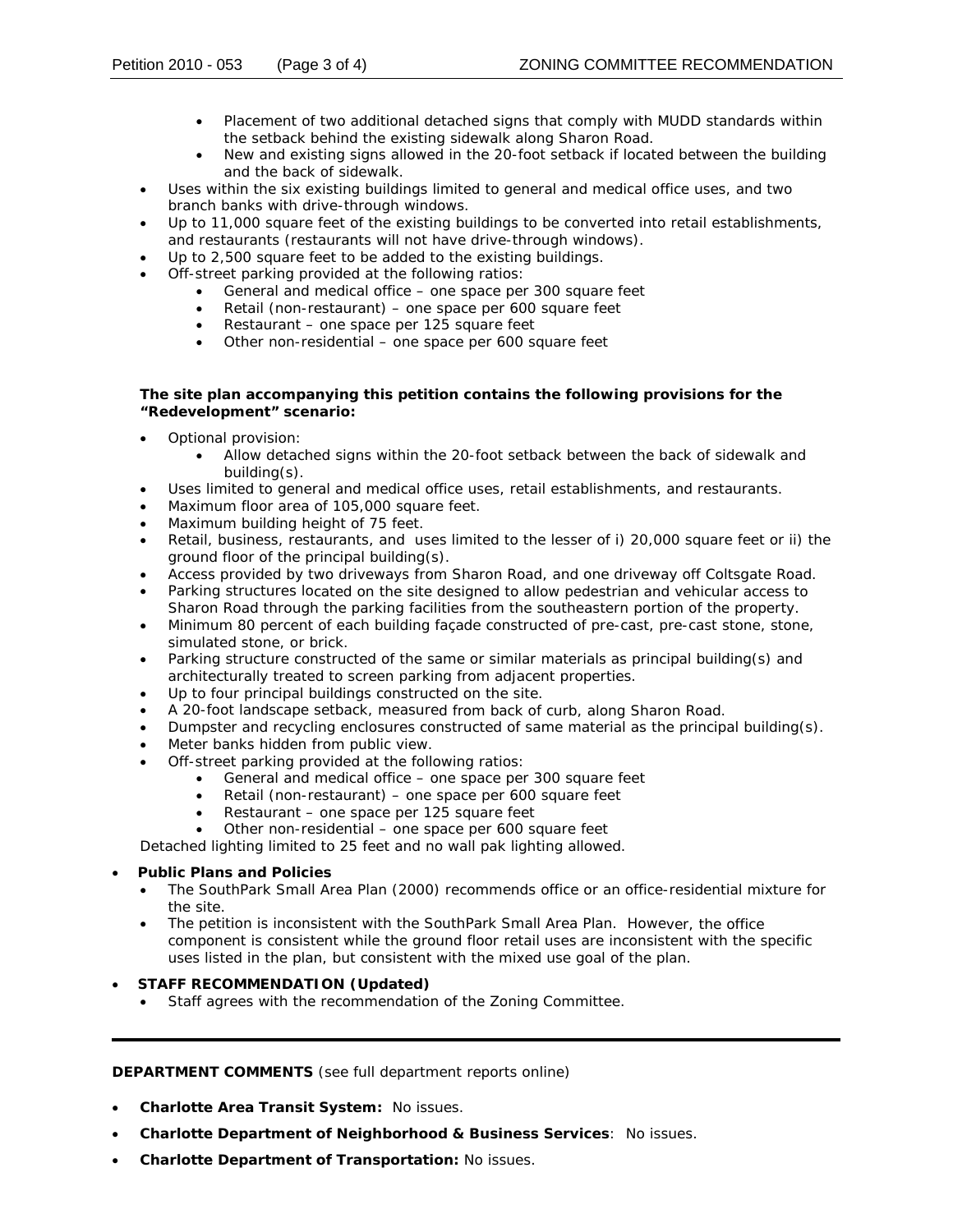- Placement of two additional detached signs that comply with MUDD standards within the setback behind the existing sidewalk along Sharon Road.
- New and existing signs allowed in the 20-foot setback if located between the building and the back of sidewalk.
- Uses within the six existing buildings limited to general and medical office uses, and two branch banks with drive-through windows.
- Up to 11,000 square feet of the existing buildings to be converted into retail establishments, and restaurants (restaurants will not have drive-through windows).
- Up to 2,500 square feet to be added to the existing buildings.
- Off-street parking provided at the following ratios:
	- General and medical office one space per 300 square feet
	- Retail (non-restaurant) one space per 600 square feet
	- Restaurant one space per 125 square feet
	- Other non-residential one space per 600 square feet

### The site plan accompanying this petition contains the following provisions for the **"Redevelopment" scenario:**

- Optional provision:
	- Allow detached signs within the 20-foot setback between the back of sidewalk and building(s).
- Uses limited to general and medical office uses, retail establishments, and restaurants.
- Maximum floor area of 105,000 square feet.
- Maximum building height of 75 feet.
- Retail, business, restaurants, and uses limited to the lesser of i) 20,000 square feet or ii) the ground floor of the principal building(s).
- Access provided by two driveways from Sharon Road, and one driveway off Coltsgate Road.
- Parking structures located on the site designed to allow pedestrian and vehicular access to Sharon Road through the parking facilities from the southeastern portion of the property.
- simulated stone, or brick. • Minimum 80 percent of each building façade constructed of pre-cast, pre-cast stone, stone,
- Parking structure constructed of the same or similar materials as principal building(s) and architecturally treated to screen parking from adjacent properties.
- Up to four principal buildings constructed on the site.
- A 20-foot landscape setback, measured from back of curb, along Sharon Road.
- Dumpster and recycling enclosures constructed of same material as the principal building(s).
- Meter banks hidden from public view.
- Off-street parking provided at the following ratios:
	- General and medical office one space per 300 square feet
	- Retail (non-restaurant) one space per 600 square feet
	- Restaurant one space per 125 square feet
	- Other non-residential one space per 600 square feet

Detached lighting limited to 25 feet and no wall pak lighting allowed.

### • **Public Plans and Policies**

- The *SouthPark Small Area Plan* (2000) recommends office or an office-residential mixture for the site.
- The petition is inconsistent with the *SouthPark Small Area Plan*. However, the office component is consistent while the ground floor retail uses are inconsistent with the specific uses listed in the plan, but consistent with the mixed use goal of the plan.

# • **STAFF RECOMMENDATION (Updated)**

• Staff agrees with the recommendation of the Zoning Committee.

### **DEPARTMENT COMMENTS** (see full department reports online)

- **Charlotte Area Transit System:** No issues.
- **Charlotte Department of Neighborhood & Business Services**: No issues.
- **Charlotte Department of Transportation:** No issues.